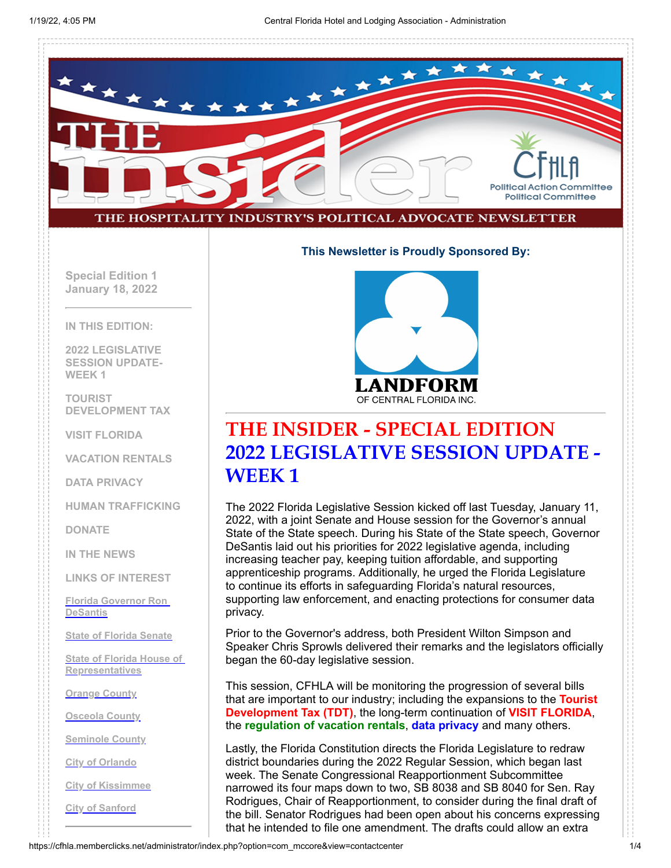

#### **This Newsletter is Proudly Sponsored By:**

**Special Edition 1 January 18, 2022**

**IN THIS EDITION:**

**2022 LEGISLATIVE SESSION UPDATE-WEEK 1**

**TOURIST DEVELOPMENT TAX**

**VISIT FLORIDA**

**VACATION RENTALS**

**DATA PRIVACY**

**HUMAN TRAFFICKING**

**DONATE**

**IN THE NEWS**

**LINKS OF INTEREST**

**[Florida Governor Ron](http://www.flgov.com/) DeSantis**

**[State of Florida Senate](http://www.flsenate.gov/)**

**[State of Florida House of](http://www.myfloridahouse.gov/) Representatives**

**[Orange County](http://www.orangecountyfl.net/)**

**[Osceola County](http://www.osceola.org/)**

**[Seminole County](http://www.seminolecountyfl.gov/)**

**[City of Orlando](http://www.cityoforlando.net/)**

**[City of Kissimmee](http://www.kissimmee.org/)**

**[City of Sanford](http://www.sanfordfl.gov/)**



### **THE INSIDER - SPECIAL EDITION 2022 LEGISLATIVE SESSION UPDATE - WEEK 1**

The 2022 Florida Legislative Session kicked off last Tuesday, January 11, 2022, with a joint Senate and House session for the Governor's annual State of the State speech. During his State of the State speech, Governor DeSantis laid out his priorities for 2022 legislative agenda, including increasing teacher pay, keeping tuition affordable, and supporting apprenticeship programs. Additionally, he urged the Florida Legislature to continue its efforts in safeguarding Florida's natural resources, supporting law enforcement, and enacting protections for consumer data privacy.

Prior to the Governor's address, both President Wilton Simpson and Speaker Chris Sprowls delivered their remarks and the legislators officially began the 60-day legislative session.

This session, CFHLA will be monitoring the progression of several bills that are important to our industry; including the expansions to the **Tourist Development Tax (TDT)**, the long-term continuation of **VISIT FLORIDA**, the **regulation of vacation rentals**, **data privacy** and many others.

Lastly, the Florida Constitution directs the Florida Legislature to redraw district boundaries during the 2022 Regular Session, which began last week. The Senate Congressional Reapportionment Subcommittee narrowed its four maps down to two, SB 8038 and SB 8040 for Sen. Ray Rodrigues, Chair of Reapportionment, to consider during the final draft of the bill. Senator Rodrigues had been open about his concerns expressing that he intended to file one amendment. The drafts could allow an extra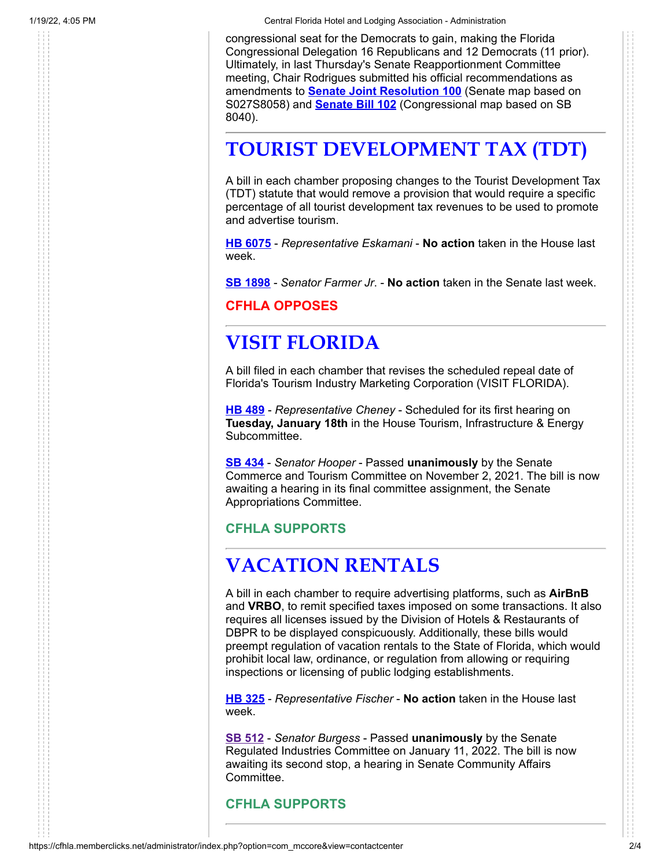1/19/22, 4:05 PM Central Florida Hotel and Lodging Association - Administration

congressional seat for the Democrats to gain, making the Florida Congressional Delegation 16 Republicans and 12 Democrats (11 prior). Ultimately, in last Thursday's Senate Reapportionment Committee meeting, Chair Rodrigues submitted his official recommendations as amendments to **[Senate Joint Resolution 100](https://flsenate.gov/Session/Bill/2022/100/Analyses/2022s00100.re.PDF)** (Senate map based on S027S8058) and **[Senate Bill 102](https://flsenate.gov/Session/Bill/2022/102/Analyses/2022s00102.re.PDF)** (Congressional map based on SB 8040).

# **TOURIST DEVELOPMENT TAX (TDT)**

A bill in each chamber proposing changes to the Tourist Development Tax (TDT) statute that would remove a provision that would require a specific percentage of all tourist development tax revenues to be used to promote and advertise tourism.

**[HB 6075](https://www.myfloridahouse.gov/Sections/Bills/billsdetail.aspx?BillId=73902&SessionId=93)** - *Representative Eskamani* - **No action** taken in the House last week.

**[SB 1898](https://www.myfloridahouse.gov/Sections/Bills/billsdetail.aspx?BillId=76420&SessionId=93)** - *Senator Farmer Jr*. - **No action** taken in the Senate last week.

**CFHLA OPPOSES**

# **VISIT FLORIDA**

A bill filed in each chamber that revises the scheduled repeal date of Florida's Tourism Industry Marketing Corporation (VISIT FLORIDA).

**[HB 489](https://www.myfloridahouse.gov/Sections/Bills/billsdetail.aspx?BillId=73966&SessionId=93)** - *Representative Cheney* - Scheduled for its first hearing on **Tuesday, January 18th** in the House Tourism, Infrastructure & Energy Subcommittee.

**[SB 434](https://www.myfloridahouse.gov/Sections/Bills/billsdetail.aspx?BillId=73406&SessionId=93)** - *Senator Hooper* - Passed **unanimously** by the Senate Commerce and Tourism Committee on November 2, 2021. The bill is now awaiting a hearing in its final committee assignment, the Senate Appropriations Committee.

#### **CFHLA SUPPORTS**

# **VACATION RENTALS**

A bill in each chamber to require advertising platforms, such as **AirBnB** and **VRBO**, to remit specified taxes imposed on some transactions. It also requires all licenses issued by the Division of Hotels & Restaurants of DBPR to be displayed conspicuously. Additionally, these bills would preempt regulation of vacation rentals to the State of Florida, which would prohibit local law, ordinance, or regulation from allowing or requiring inspections or licensing of public lodging establishments.

**HB [325](https://www.myfloridahouse.gov/Sections/Bills/billsdetail.aspx?BillId=73530&SessionId=93)** - *Representative Fischer* - **No action** taken in the House last week.

**[SB 512](https://www.myfloridahouse.gov/Sections/Bills/billsdetail.aspx?BillId=73519&SessionId=93)** - *Senator Burgess* - Passed **unanimously** by the Senate Regulated Industries Committee on January 11, 2022. The bill is now awaiting its second stop, a hearing in Senate Community Affairs Committee.

**CFHLA SUPPORTS**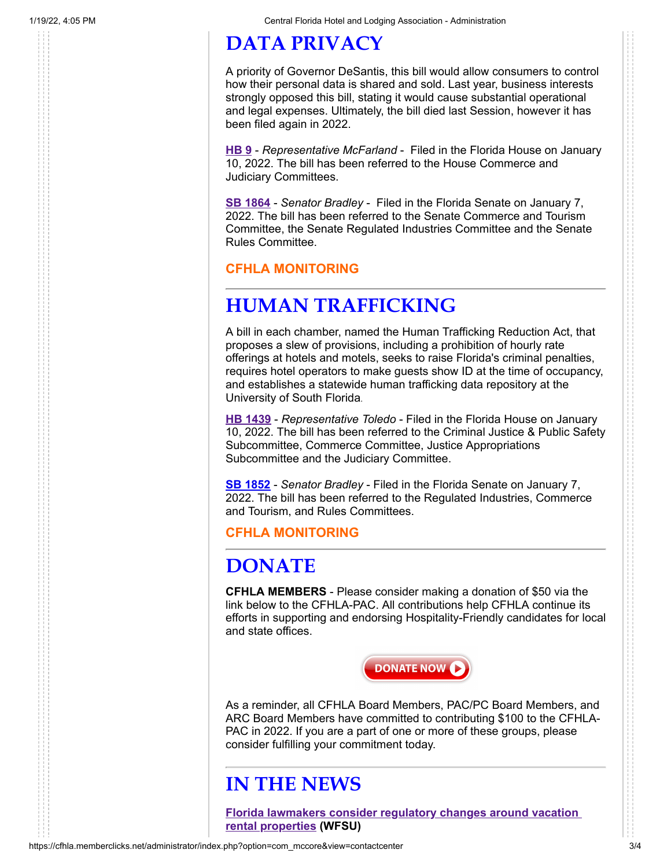# **DATA PRIVACY**

A priority of Governor DeSantis, this bill would allow consumers to control how their personal data is shared and sold. Last year, business interests strongly opposed this bill, stating it would cause substantial operational and legal expenses. Ultimately, the bill died last Session, however it has been filed again in 2022.

**[HB 9](https://www.myfloridahouse.gov/Sections/Bills/billsdetail.aspx?BillId=76556&SessionId=93)** - *Representative McFarland* - Filed in the Florida House on January 10, 2022. The bill has been referred to the House Commerce and Judiciary Committees.

**[SB 1864](https://flsenate.gov/Session/Bill/2022/1864)** - *Senator Bradley* - Filed in the Florida Senate on January 7, 2022. The bill has been referred to the Senate Commerce and Tourism Committee, the Senate Regulated Industries Committee and the Senate Rules Committee.

#### **CFHLA MONITORING**

## **HUMAN TRAFFICKING**

A bill in each chamber, named the Human Trafficking Reduction Act, that proposes a slew of provisions, including a prohibition of hourly rate offerings at hotels and motels, seeks to raise Florida's criminal penalties, requires hotel operators to make guests show ID at the time of occupancy, and establishes a statewide human trafficking data repository at the University of South Florida.

**[HB 1439](https://www.myfloridahouse.gov/Sections/Bills/billsdetail.aspx?BillId=76458)** - *Representative Toledo* - Filed in the Florida House on January 10, 2022. The bill has been referred to the Criminal Justice & Public Safety Subcommittee, Commerce Committee, Justice Appropriations Subcommittee and the Judiciary Committee.

**[SB 1852](https://flsenate.gov/Session/Bill/2022/1852)** - *Senator Bradley* - Filed in the Florida Senate on January 7, 2022. The bill has been referred to the Regulated Industries, Commerce and Tourism, and Rules Committees.

**CFHLA MONITORING**

## **DONATE**

**CFHLA MEMBERS** - Please consider making a donation of \$50 via the link below to the CFHLA-PAC. All contributions help CFHLA continue its efforts in supporting and endorsing Hospitality-Friendly candidates for local and state offices.



As a reminder, all CFHLA Board Members, PAC/PC Board Members, and ARC Board Members have committed to contributing \$100 to the CFHLA-PAC in 2022. If you are a part of one or more of these groups, please consider fulfilling your commitment today.

## **IN THE NEWS**

**[Florida lawmakers consider regulatory changes around vacation](https://news.wfsu.org/state-news/2022-01-12/florida-lawmakers-consider-regulatory-changes-around-vacation-rental-properties) rental properties (WFSU)**